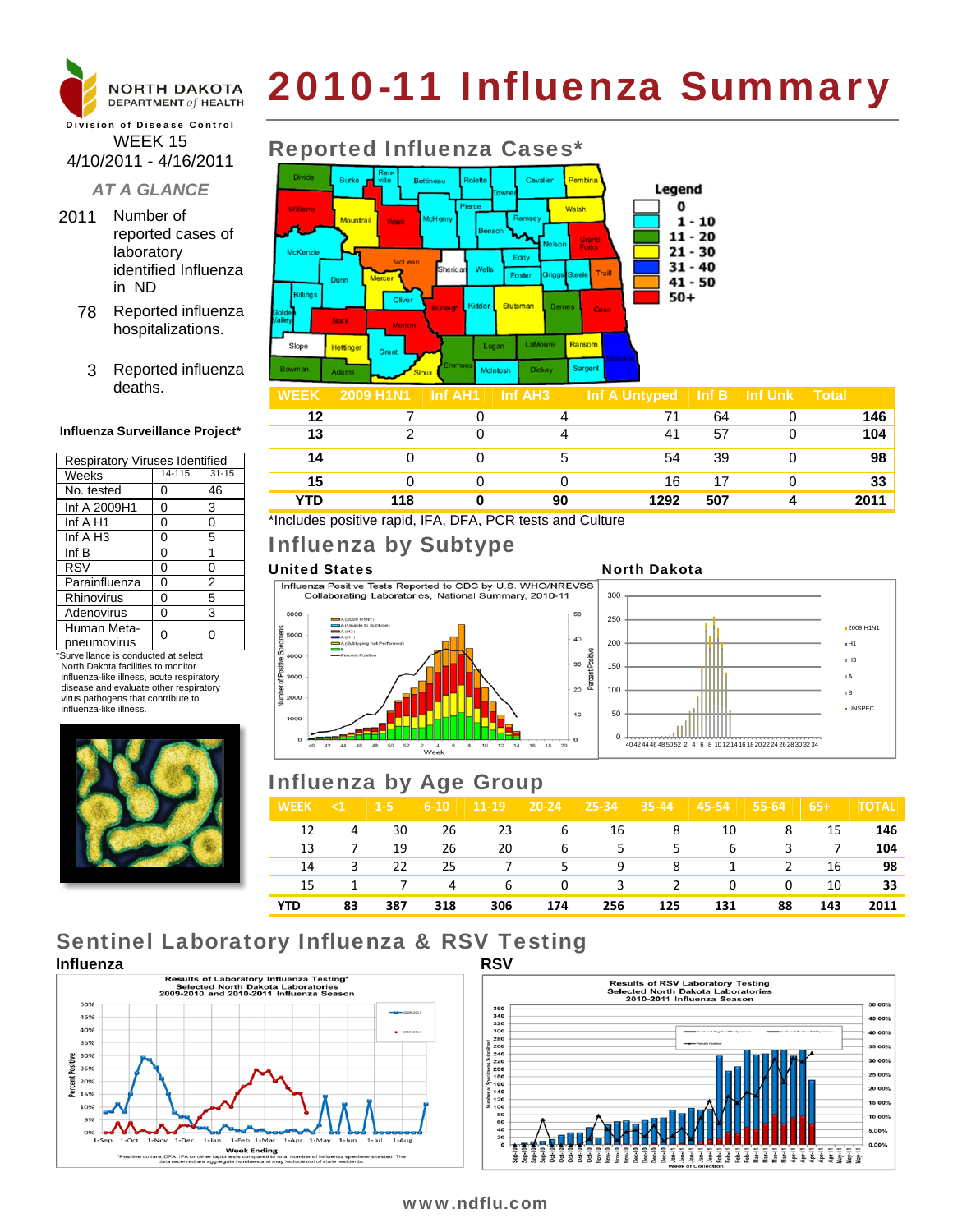

# 2010-11 Influenza Summary

#### Division of Disease Control WEEK 15 4/10/2011 - 4/16/2011

### *AT A GLANCE*

- 2011 Number of reported cases of laboratory identified Influenza in ND
	- 78 Reported influenza hospitalizations.
	- 3 Reported influenza deaths.

#### **Influenza Surveillance Project\***

| Respiratory Viruses Identified |        |                |  |  |  |  |
|--------------------------------|--------|----------------|--|--|--|--|
| Weeks                          | 14-115 | $31 - 15$      |  |  |  |  |
| No. tested                     | 0      | 46             |  |  |  |  |
| Inf A 2009H1                   | 0      | 3              |  |  |  |  |
| Inf $A$ H <sub>1</sub>         | 0      | 0              |  |  |  |  |
| Inf $A$ H <sub>3</sub>         | 0      | 5              |  |  |  |  |
| Inf $B$                        | 0      | 1              |  |  |  |  |
| <b>RSV</b>                     | 0      | 0              |  |  |  |  |
| Parainfluenza                  | 0      | $\overline{2}$ |  |  |  |  |
| <b>Rhinovirus</b>              | 0      | 5              |  |  |  |  |
| Adenovirus                     | 0      | 3              |  |  |  |  |
| Human Meta-<br>pneumovirus     | ი      | 0              |  |  |  |  |

\*Surveillance is conducted at select North Dakota facilities to monitor influenza-like illness, acute respiratory disease and evaluate other respiratory virus pathogens that contribute to influenza-like illness.



# Reported Influenza Cases\*



| WEEN | $\pm$ 2009 MHNT $\pm$ 1111 AME $\pm$ 1111 AM9 |    | $\ln 1$ A UIII year $\ln 1$ in UII N $\ln 1$ UIII |     |      |
|------|-----------------------------------------------|----|---------------------------------------------------|-----|------|
| 12   |                                               |    |                                                   | 64  | 146  |
| 13   |                                               |    | 41                                                | 57  | 104  |
| 14   |                                               |    | 54                                                | 39  | 98   |
| 15   |                                               |    | 16                                                | 17  | 33   |
| YTD  | 118                                           | 90 | 1292                                              | 507 | 2011 |

\*Includes positive rapid, IFA, DFA, PCR tests and Culture

# Influenza by Subtype

United States<br>
Influenza Positive Tests Reported to CDC by U.S. WHO/NREVSS<br>
Collaborating Laboratories, National Summary, 2010-11 300







# Influenza by Age Group

| <b>WEEK</b> | $\leq 1$ | $1 - 5i$ | $6 - 10$ | $11-19$ | $20 - 24$ | $25 - 34$ | $35 - 44$ | $45 - 54$ | 55-64 | $65+$ | <b>TOTAL</b> |
|-------------|----------|----------|----------|---------|-----------|-----------|-----------|-----------|-------|-------|--------------|
| 12          | 4        | 30       | 26       | 23      | 6         | 16        | 8         | 10        | 8     | 15    | 146          |
| 13          | 7        | 19       | 26       | 20      | 6         | .5.       | 5.        | 6         | 3     | 7     | 104          |
| 14          | 3        | 22       | 25       |         | 5.        | 9         | 8         | -1        | 2     | 16    | 98           |
| 15          | 1        | 7        | 4        | 6       | 0         | 3         | 2         | 0         | 0     | 10    | 33           |
| <b>YTD</b>  | 83       | 387      | 318      | 306     | 174       | 256       | 125       | 131       | 88    | 143   | 2011         |

# Sentinel Laboratory Influenza & RSV Testing





### www.ndflu.com